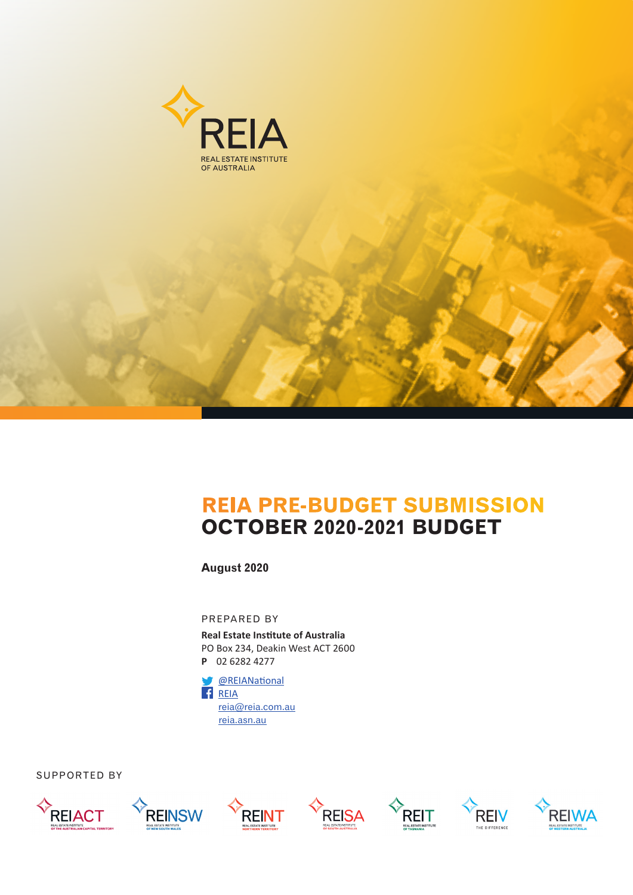



**August 2020**

PREPARED BY

**Real Estate Institute of Australia** PO Box 234, Deakin West ACT 2600 **P** 02 6282 4277



SUPPORTED BY













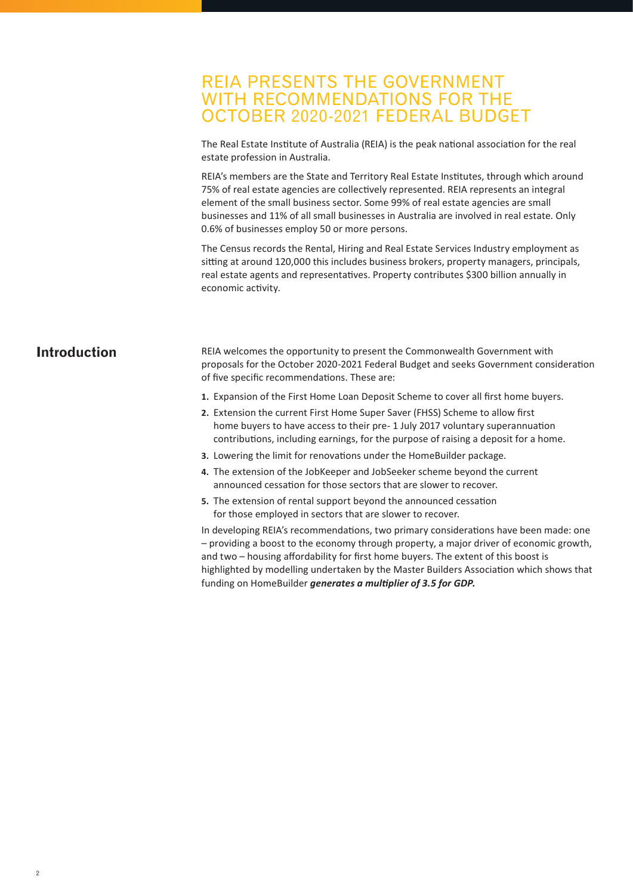# REIA PRESENTS THE GOVERNMENT WITH RECOMMENDATIONS FOR THE OCTOBER 2020-2021 FEDERAL BUDGET

The Real Estate Institute of Australia (REIA) is the peak national association for the real estate profession in Australia.

REIA's members are the State and Territory Real Estate Institutes, through which around 75% of real estate agencies are collectively represented. REIA represents an integral element of the small business sector. Some 99% of real estate agencies are small businesses and 11% of all small businesses in Australia are involved in real estate. Only 0.6% of businesses employ 50 or more persons.

The Census records the Rental, Hiring and Real Estate Services Industry employment as sitting at around 120,000 this includes business brokers, property managers, principals, real estate agents and representatives. Property contributes \$300 billion annually in economic activity.

## **Introduction**

REIA welcomes the opportunity to present the Commonwealth Government with proposals for the October 2020-2021 Federal Budget and seeks Government consideration of five specific recommendations. These are:

- **1.** Expansion of the First Home Loan Deposit Scheme to cover all first home buyers.
- **2.** Extension the current First Home Super Saver (FHSS) Scheme to allow first home buyers to have access to their pre- 1 July 2017 voluntary superannuation contributions, including earnings, for the purpose of raising a deposit for a home.
- **3.** Lowering the limit for renovations under the HomeBuilder package.
- **4.** The extension of the JobKeeper and JobSeeker scheme beyond the current announced cessation for those sectors that are slower to recover.
- **5.** The extension of rental support beyond the announced cessation for those employed in sectors that are slower to recover.

In developing REIA's recommendations, two primary considerations have been made: one – providing a boost to the economy through property, a major driver of economic growth, and two – housing affordability for first home buyers. The extent of this boost is highlighted by modelling undertaken by the Master Builders Association which shows that funding on HomeBuilder *generates a multiplier of 3.5 for GDP.*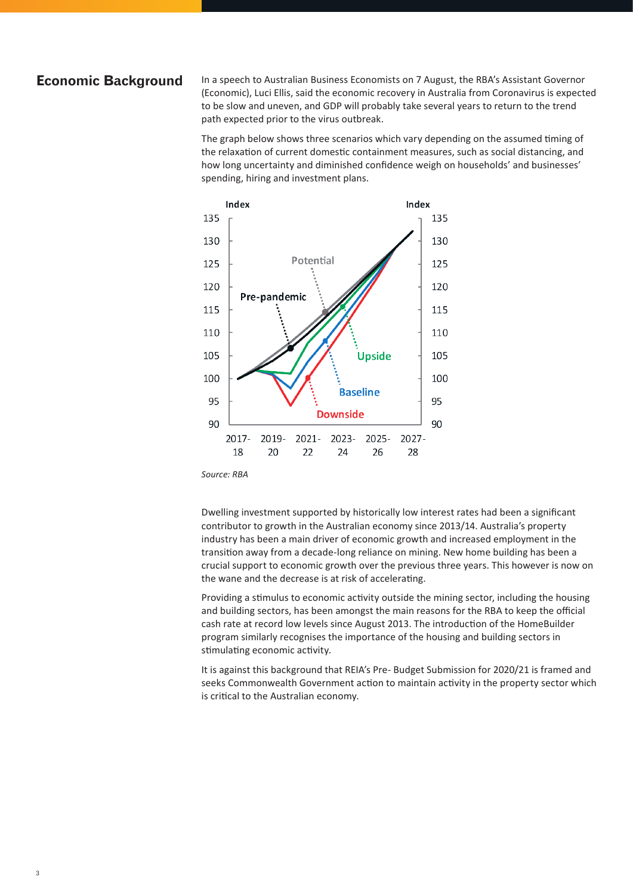### **Economic Background**

In a speech to Australian Business Economists on 7 August, the RBA's Assistant Governor (Economic), Luci Ellis, said the economic recovery in Australia from Coronavirus is expected to be slow and uneven, and GDP will probably take several years to return to the trend path expected prior to the virus outbreak.

The graph below shows three scenarios which vary depending on the assumed timing of the relaxation of current domestic containment measures, such as social distancing, and how long uncertainty and diminished confidence weigh on households' and businesses' spending, hiring and investment plans.



*Source: RBA* 

Dwelling investment supported by historically low interest rates had been a significant contributor to growth in the Australian economy since 2013/14. Australia's property industry has been a main driver of economic growth and increased employment in the transition away from a decade-long reliance on mining. New home building has been a crucial support to economic growth over the previous three years. This however is now on the wane and the decrease is at risk of accelerating.

Providing a stimulus to economic activity outside the mining sector, including the housing and building sectors, has been amongst the main reasons for the RBA to keep the official cash rate at record low levels since August 2013. The introduction of the HomeBuilder program similarly recognises the importance of the housing and building sectors in stimulating economic activity.

It is against this background that REIA's Pre- Budget Submission for 2020/21 is framed and seeks Commonwealth Government action to maintain activity in the property sector which is critical to the Australian economy.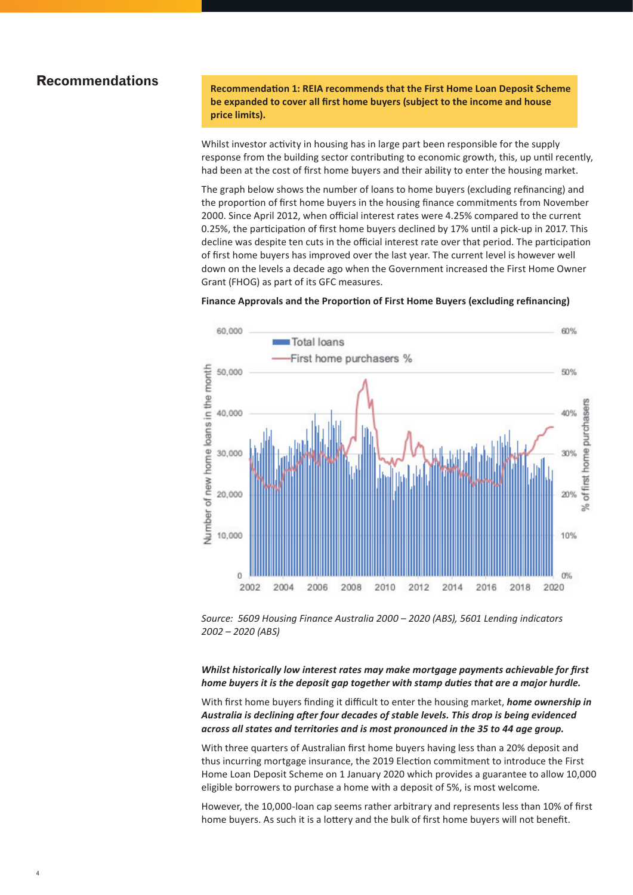## **Recommendations**

**Recommendation 1: REIA recommends that the First Home Loan Deposit Scheme be expanded to cover all first home buyers (subject to the income and house price limits).**

Whilst investor activity in housing has in large part been responsible for the supply response from the building sector contributing to economic growth, this, up until recently, had been at the cost of first home buyers and their ability to enter the housing market.

The graph below shows the number of loans to home buyers (excluding refinancing) and the proportion of first home buyers in the housing finance commitments from November 2000. Since April 2012, when official interest rates were 4.25% compared to the current 0.25%, the participation of first home buyers declined by 17% until a pick-up in 2017. This decline was despite ten cuts in the official interest rate over that period. The participation of first home buyers has improved over the last year. The current level is however well down on the levels a decade ago when the Government increased the First Home Owner Grant (FHOG) as part of its GFC measures.



#### **Finance Approvals and the Proportion of First Home Buyers (excluding refinancing)**

*Source: 5609 Housing Finance Australia 2000 – 2020 (ABS), 5601 Lending indicators 2002 – 2020 (ABS)*

*Whilst historically low interest rates may make mortgage payments achievable for first home buyers it is the deposit gap together with stamp duties that are a major hurdle.*

With first home buyers finding it difficult to enter the housing market, *home ownership in Australia is declining after four decades of stable levels. This drop is being evidenced across all states and territories and is most pronounced in the 35 to 44 age group.*

With three quarters of Australian first home buyers having less than a 20% deposit and thus incurring mortgage insurance, the 2019 Election commitment to introduce the First Home Loan Deposit Scheme on 1 January 2020 which provides a guarantee to allow 10,000 eligible borrowers to purchase a home with a deposit of 5%, is most welcome.

However, the 10,000-loan cap seems rather arbitrary and represents less than 10% of first home buyers. As such it is a lottery and the bulk of first home buyers will not benefit.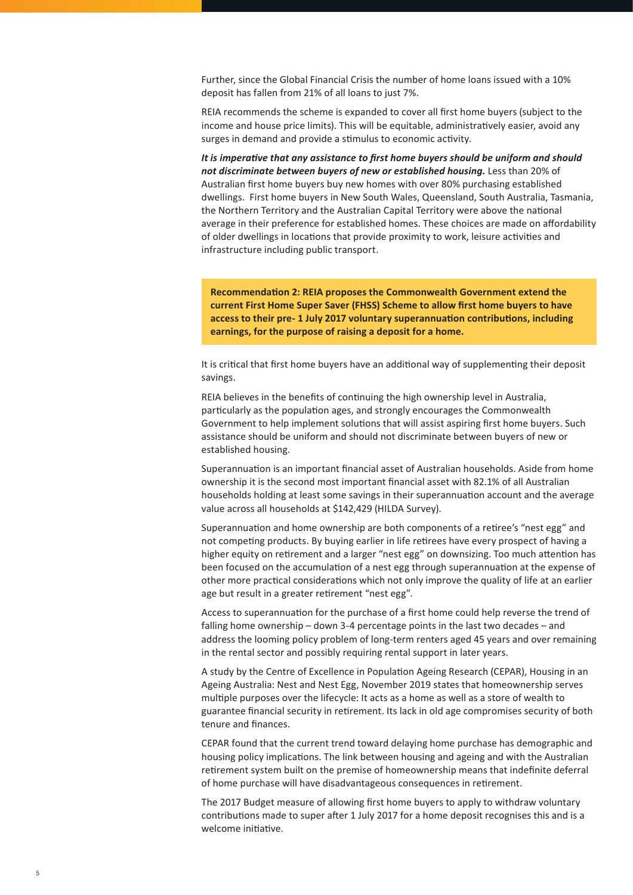Further, since the Global Financial Crisis the number of home loans issued with a 10% deposit has fallen from 21% of all loans to just 7%.

REIA recommends the scheme is expanded to cover all first home buyers (subject to the income and house price limits). This will be equitable, administratively easier, avoid any surges in demand and provide a stimulus to economic activity.

*It is imperative that any assistance to first home buyers should be uniform and should not discriminate between buyers of new or established housing.* Less than 20% of Australian first home buyers buy new homes with over 80% purchasing established dwellings. First home buyers in New South Wales, Queensland, South Australia, Tasmania, the Northern Territory and the Australian Capital Territory were above the national average in their preference for established homes. These choices are made on affordability of older dwellings in locations that provide proximity to work, leisure activities and infrastructure including public transport.

**Recommendation 2: REIA proposes the Commonwealth Government extend the current First Home Super Saver (FHSS) Scheme to allow first home buyers to have access to their pre- 1 July 2017 voluntary superannuation contributions, including earnings, for the purpose of raising a deposit for a home.**

It is critical that first home buyers have an additional way of supplementing their deposit savings.

REIA believes in the benefits of continuing the high ownership level in Australia, particularly as the population ages, and strongly encourages the Commonwealth Government to help implement solutions that will assist aspiring first home buyers. Such assistance should be uniform and should not discriminate between buyers of new or established housing.

Superannuation is an important financial asset of Australian households. Aside from home ownership it is the second most important financial asset with 82.1% of all Australian households holding at least some savings in their superannuation account and the average value across all households at \$142,429 (HILDA Survey).

Superannuation and home ownership are both components of a retiree's "nest egg" and not competing products. By buying earlier in life retirees have every prospect of having a higher equity on retirement and a larger "nest egg" on downsizing. Too much attention has been focused on the accumulation of a nest egg through superannuation at the expense of other more practical considerations which not only improve the quality of life at an earlier age but result in a greater retirement "nest egg".

Access to superannuation for the purchase of a first home could help reverse the trend of falling home ownership – down 3-4 percentage points in the last two decades – and address the looming policy problem of long-term renters aged 45 years and over remaining in the rental sector and possibly requiring rental support in later years.

A study by the Centre of Excellence in Population Ageing Research (CEPAR), Housing in an Ageing Australia: Nest and Nest Egg, November 2019 states that homeownership serves multiple purposes over the lifecycle: It acts as a home as well as a store of wealth to guarantee financial security in retirement. Its lack in old age compromises security of both tenure and finances.

CEPAR found that the current trend toward delaying home purchase has demographic and housing policy implications. The link between housing and ageing and with the Australian retirement system built on the premise of homeownership means that indefinite deferral of home purchase will have disadvantageous consequences in retirement.

The 2017 Budget measure of allowing first home buyers to apply to withdraw voluntary contributions made to super after 1 July 2017 for a home deposit recognises this and is a welcome initiative.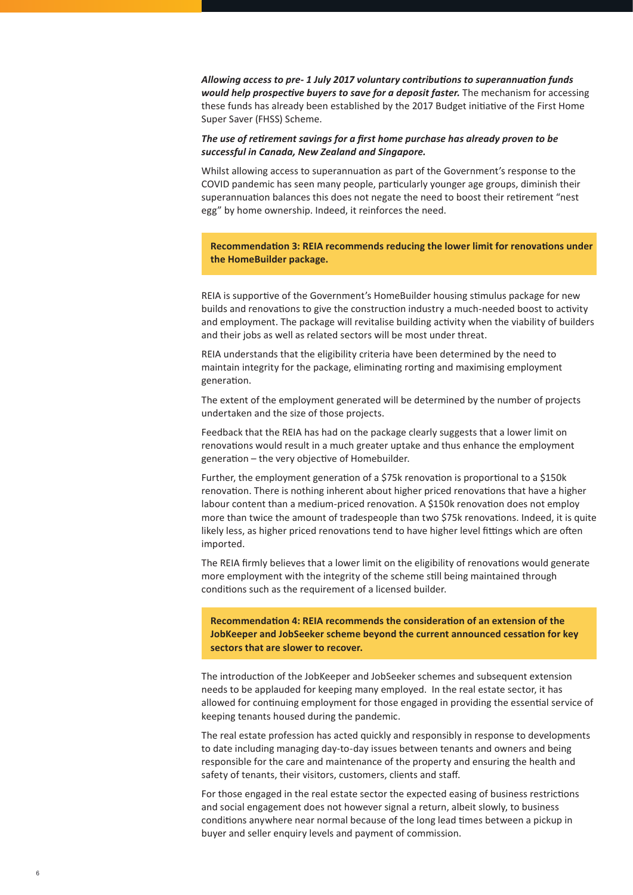*Allowing access to pre- 1 July 2017 voluntary contributions to superannuation funds would help prospective buyers to save for a deposit faster.* The mechanism for accessing these funds has already been established by the 2017 Budget initiative of the First Home Super Saver (FHSS) Scheme.

#### *The use of retirement savings for a first home purchase has already proven to be successful in Canada, New Zealand and Singapore.*

Whilst allowing access to superannuation as part of the Government's response to the COVID pandemic has seen many people, particularly younger age groups, diminish their superannuation balances this does not negate the need to boost their retirement "nest egg" by home ownership. Indeed, it reinforces the need.

**Recommendation 3: REIA recommends reducing the lower limit for renovations under the HomeBuilder package.** 

REIA is supportive of the Government's HomeBuilder housing stimulus package for new builds and renovations to give the construction industry a much-needed boost to activity and employment. The package will revitalise building activity when the viability of builders and their jobs as well as related sectors will be most under threat.

REIA understands that the eligibility criteria have been determined by the need to maintain integrity for the package, eliminating rorting and maximising employment generation.

The extent of the employment generated will be determined by the number of projects undertaken and the size of those projects.

Feedback that the REIA has had on the package clearly suggests that a lower limit on renovations would result in a much greater uptake and thus enhance the employment generation – the very objective of Homebuilder.

Further, the employment generation of a \$75k renovation is proportional to a \$150k renovation. There is nothing inherent about higher priced renovations that have a higher labour content than a medium-priced renovation. A \$150k renovation does not employ more than twice the amount of tradespeople than two \$75k renovations. Indeed, it is quite likely less, as higher priced renovations tend to have higher level fittings which are often imported.

The REIA firmly believes that a lower limit on the eligibility of renovations would generate more employment with the integrity of the scheme still being maintained through conditions such as the requirement of a licensed builder.

**Recommendation 4: REIA recommends the consideration of an extension of the JobKeeper and JobSeeker scheme beyond the current announced cessation for key sectors that are slower to recover.** 

The introduction of the JobKeeper and JobSeeker schemes and subsequent extension needs to be applauded for keeping many employed. In the real estate sector, it has allowed for continuing employment for those engaged in providing the essential service of keeping tenants housed during the pandemic.

The real estate profession has acted quickly and responsibly in response to developments to date including managing day-to-day issues between tenants and owners and being responsible for the care and maintenance of the property and ensuring the health and safety of tenants, their visitors, customers, clients and staff.

For those engaged in the real estate sector the expected easing of business restrictions and social engagement does not however signal a return, albeit slowly, to business conditions anywhere near normal because of the long lead times between a pickup in buyer and seller enquiry levels and payment of commission.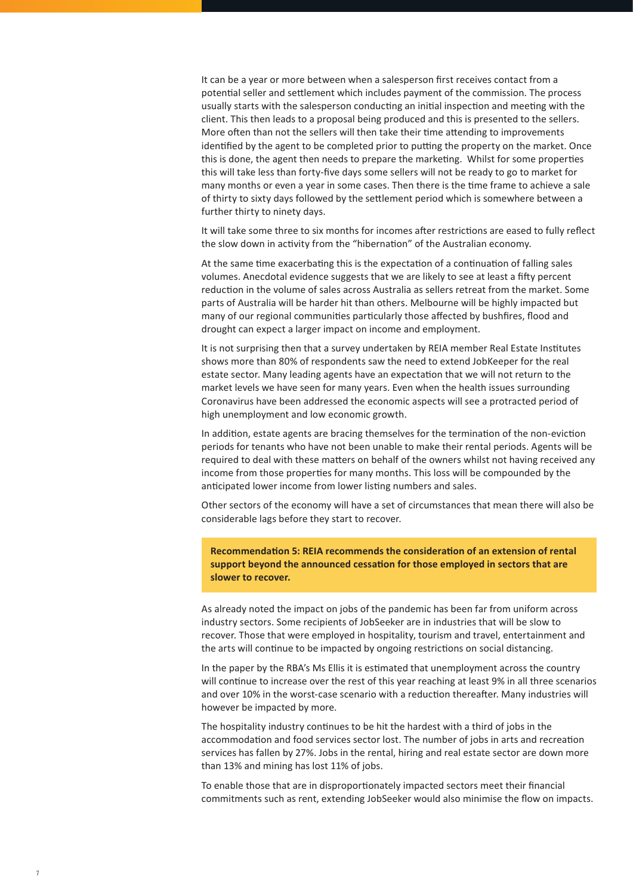It can be a year or more between when a salesperson first receives contact from a potential seller and settlement which includes payment of the commission. The process usually starts with the salesperson conducting an initial inspection and meeting with the client. This then leads to a proposal being produced and this is presented to the sellers. More often than not the sellers will then take their time attending to improvements identified by the agent to be completed prior to putting the property on the market. Once this is done, the agent then needs to prepare the marketing. Whilst for some properties this will take less than forty-five days some sellers will not be ready to go to market for many months or even a year in some cases. Then there is the time frame to achieve a sale of thirty to sixty days followed by the settlement period which is somewhere between a further thirty to ninety days.

It will take some three to six months for incomes after restrictions are eased to fully reflect the slow down in activity from the "hibernation" of the Australian economy.

At the same time exacerbating this is the expectation of a continuation of falling sales volumes. Anecdotal evidence suggests that we are likely to see at least a fifty percent reduction in the volume of sales across Australia as sellers retreat from the market. Some parts of Australia will be harder hit than others. Melbourne will be highly impacted but many of our regional communities particularly those affected by bushfires, flood and drought can expect a larger impact on income and employment.

It is not surprising then that a survey undertaken by REIA member Real Estate Institutes shows more than 80% of respondents saw the need to extend JobKeeper for the real estate sector. Many leading agents have an expectation that we will not return to the market levels we have seen for many years. Even when the health issues surrounding Coronavirus have been addressed the economic aspects will see a protracted period of high unemployment and low economic growth.

In addition, estate agents are bracing themselves for the termination of the non-eviction periods for tenants who have not been unable to make their rental periods. Agents will be required to deal with these matters on behalf of the owners whilst not having received any income from those properties for many months. This loss will be compounded by the anticipated lower income from lower listing numbers and sales.

Other sectors of the economy will have a set of circumstances that mean there will also be considerable lags before they start to recover.

**Recommendation 5: REIA recommends the consideration of an extension of rental support beyond the announced cessation for those employed in sectors that are slower to recover.** 

As already noted the impact on jobs of the pandemic has been far from uniform across industry sectors. Some recipients of JobSeeker are in industries that will be slow to recover. Those that were employed in hospitality, tourism and travel, entertainment and the arts will continue to be impacted by ongoing restrictions on social distancing.

In the paper by the RBA's Ms Ellis it is estimated that unemployment across the country will continue to increase over the rest of this year reaching at least 9% in all three scenarios and over 10% in the worst-case scenario with a reduction thereafter. Many industries will however be impacted by more.

The hospitality industry continues to be hit the hardest with a third of jobs in the accommodation and food services sector lost. The number of jobs in arts and recreation services has fallen by 27%. Jobs in the rental, hiring and real estate sector are down more than 13% and mining has lost 11% of jobs.

To enable those that are in disproportionately impacted sectors meet their financial commitments such as rent, extending JobSeeker would also minimise the flow on impacts.